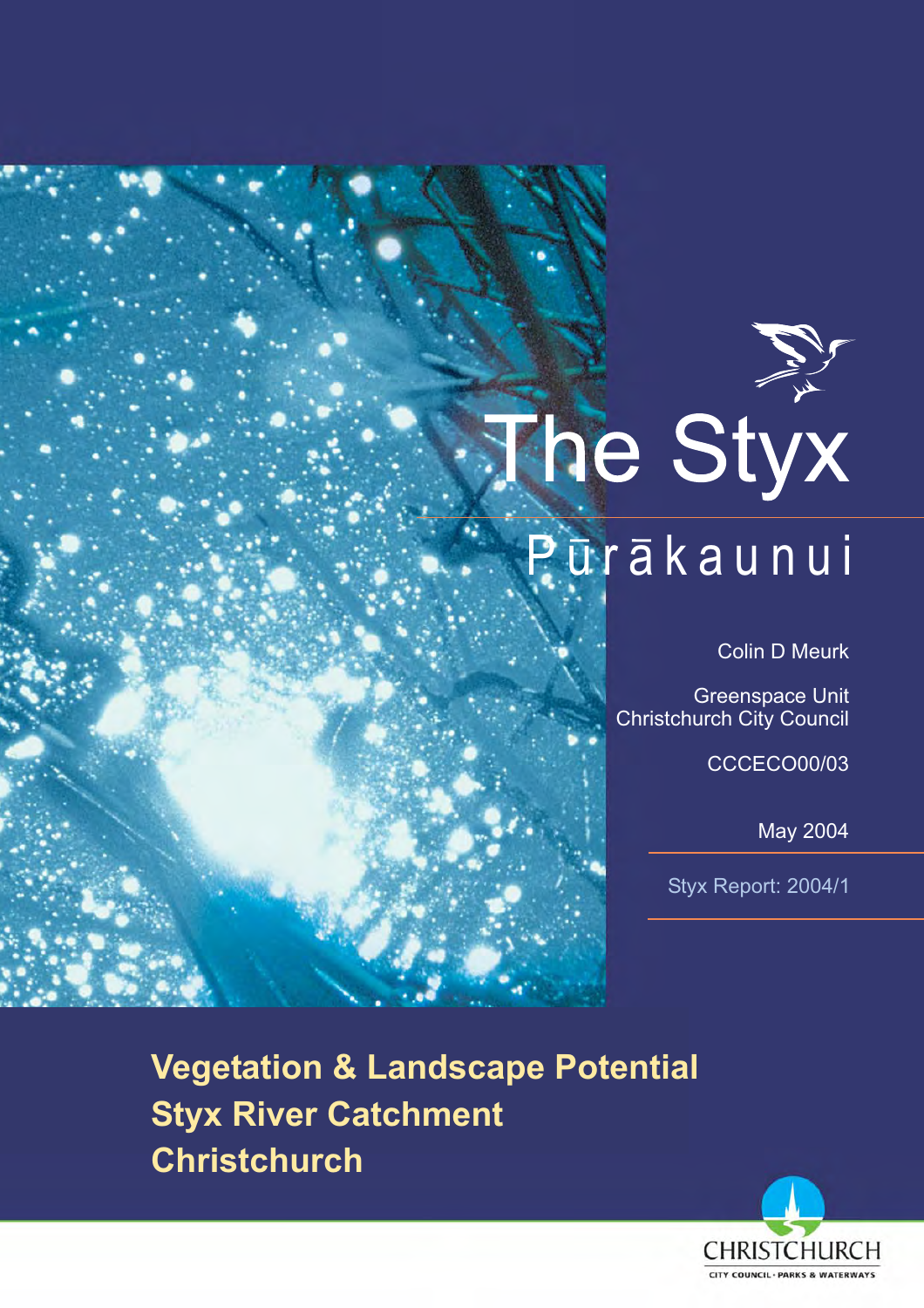# The Styx Pūrākaunui

**Colin D Meurk** 

**Greenspace Unit Christchurch City Council** 

**CCCECO00/03** 

**May 2004** 

Styx Report: 2004/1

**Vegetation & Landscape Potential Styx River Catchment Christchurch** 

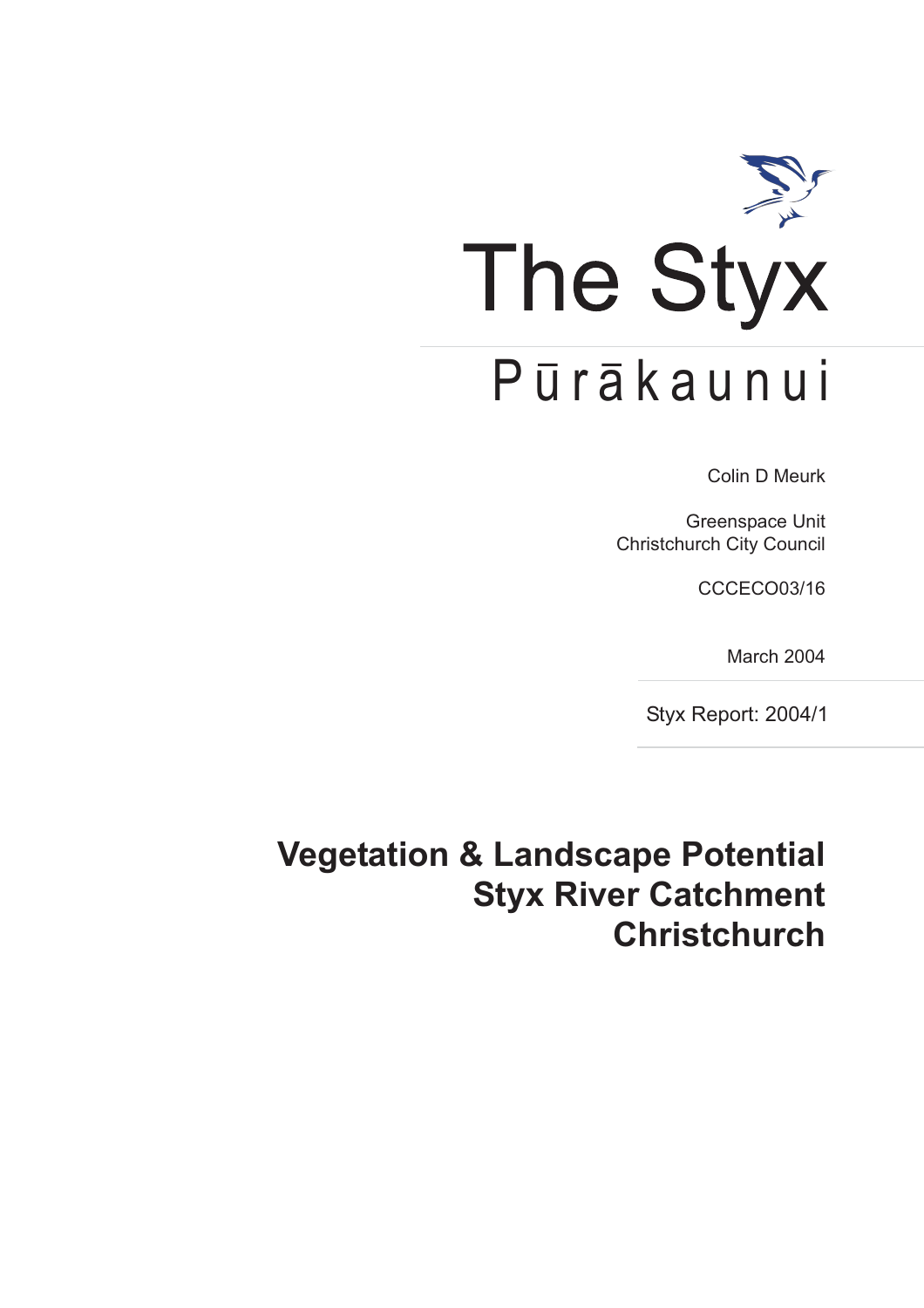

**Colin D Meurk** 

**Greenspace Unit Christchurch City Council** 

**CCCECO03/16** 

March 2004

Styx Report: 2004/1

# **Vegetation & Landscape Potential Styx River Catchment Christchurch**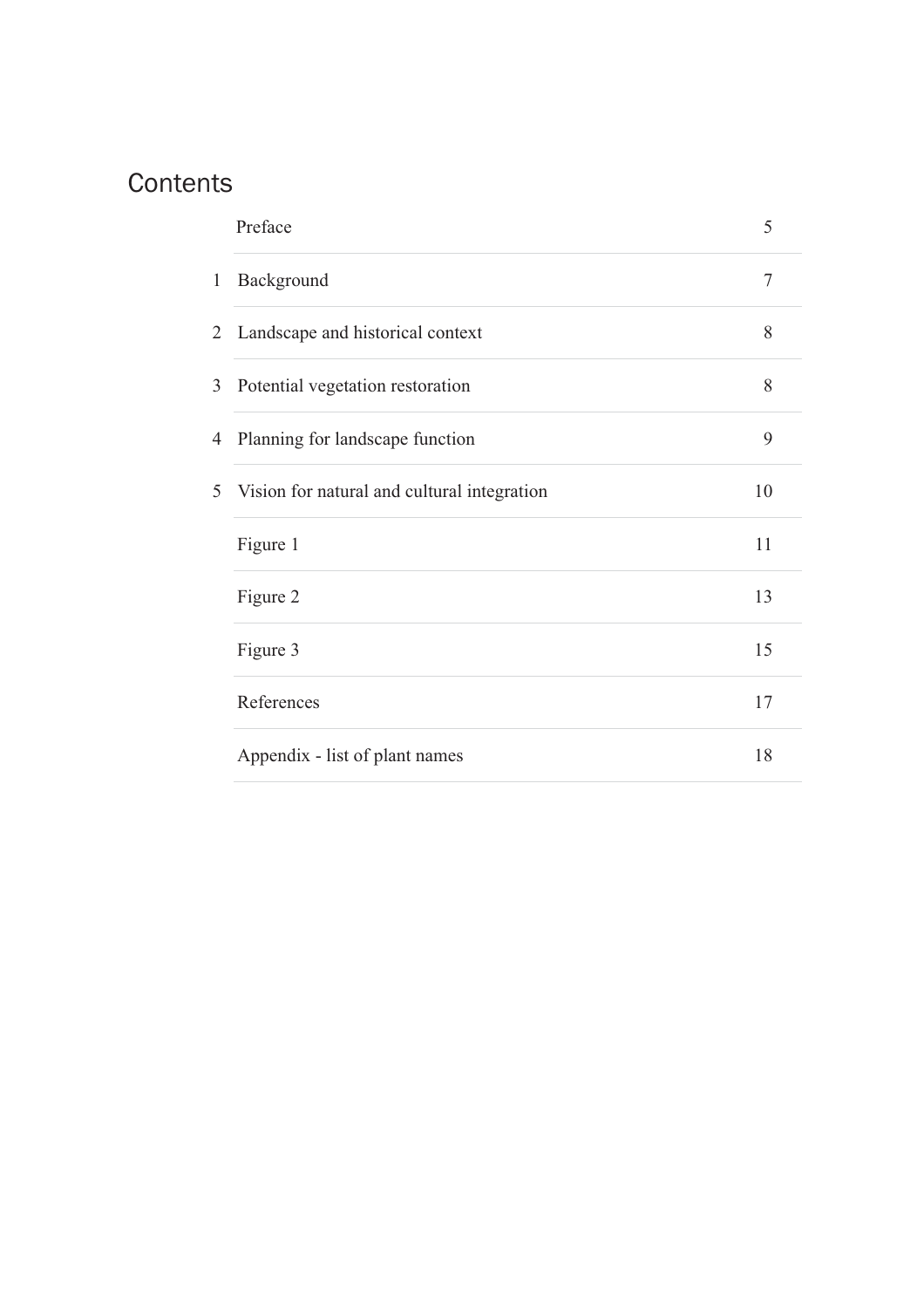# Contents

|              | Preface                                     | 5  |
|--------------|---------------------------------------------|----|
| $\mathbf{1}$ | Background                                  | 7  |
| 2            | Landscape and historical context            | 8  |
| 3            | Potential vegetation restoration            | 8  |
| 4            | Planning for landscape function             | 9  |
| 5            | Vision for natural and cultural integration | 10 |
|              | Figure 1                                    | 11 |
|              | Figure 2                                    | 13 |
|              | Figure 3                                    | 15 |
|              | References                                  | 17 |
|              | Appendix - list of plant names              | 18 |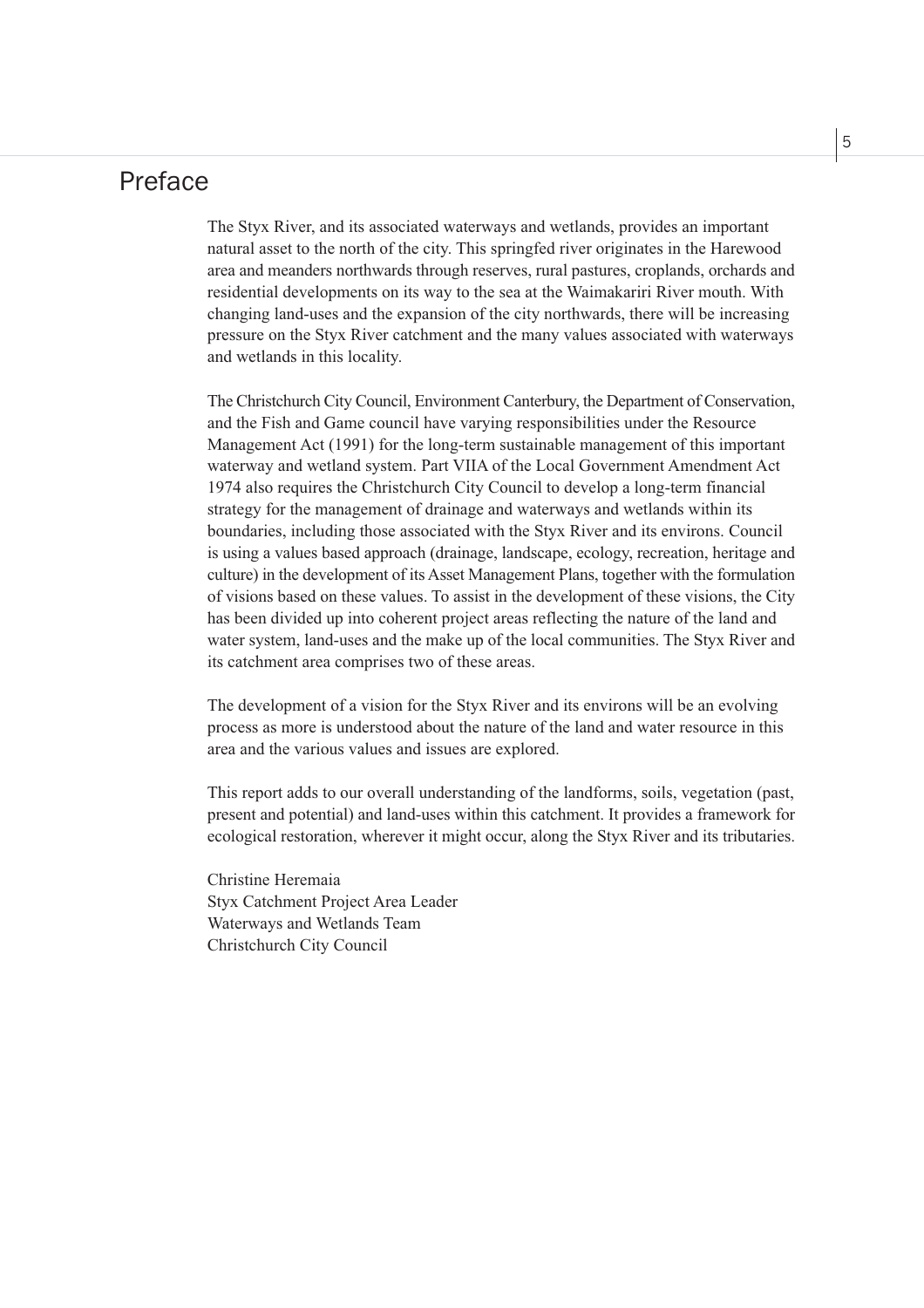### Preface

The Styx River, and its associated waterways and wetlands, provides an important natural asset to the north of the city. This springfed river originates in the Harewood area and meanders northwards through reserves, rural pastures, croplands, orchards and residential developments on its way to the sea at the Waimakariri River mouth. With changing land-uses and the expansion of the city northwards, there will be increasing pressure on the Styx River catchment and the many values associated with waterways and wetlands in this locality.

The Christchurch City Council, Environment Canterbury, the Department of Conservation, and the Fish and Game council have varying responsibilities under the Resource Management Act (1991) for the long-term sustainable management of this important waterway and wetland system. Part VIIA of the Local Government Amendment Act 1974 also requires the Christchurch City Council to develop a long-term financial strategy for the management of drainage and waterways and wetlands within its boundaries, including those associated with the Styx River and its environs. Council is using a values based approach (drainage, landscape, ecology, recreation, heritage and culture) in the development of its Asset Management Plans, together with the formulation of visions based on these values. To assist in the development of these visions, the City has been divided up into coherent project areas reflecting the nature of the land and water system, land-uses and the make up of the local communities. The Styx River and its catchment area comprises two of these areas.

The development of a vision for the Styx River and its environs will be an evolving process as more is understood about the nature of the land and water resource in this area and the various values and issues are explored.

This report adds to our overall understanding of the landforms, soils, vegetation (past, present and potential) and land-uses within this catchment. It provides a framework for ecological restoration, wherever it might occur, along the Styx River and its tributaries.

Christine Heremaia Styx Catchment Project Area Leader Waterways and Wetlands Team Christchurch City Council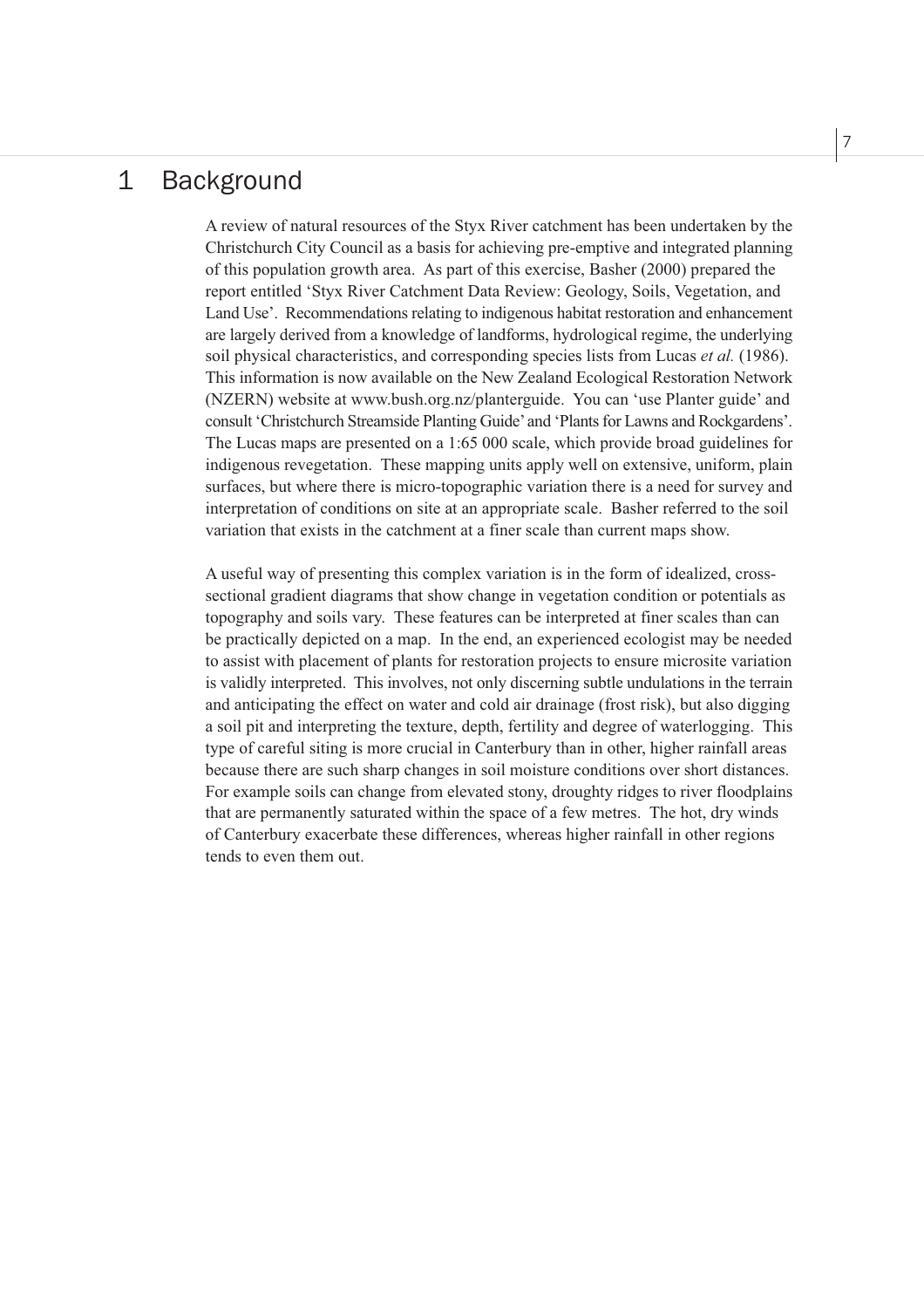#### $\mathbf 1$ **Background**

A review of natural resources of the Styx River catchment has been undertaken by the Christchurch City Council as a basis for achieving pre-emptive and integrated planning of this population growth area. As part of this exercise, Basher (2000) prepared the report entitled 'Styx River Catchment Data Review: Geology, Soils, Vegetation, and Land Use'. Recommendations relating to indigenous habitat restoration and enhancement are largely derived from a knowledge of landforms, hydrological regime, the underlying soil physical characteristics, and corresponding species lists from Lucas et al. (1986). This information is now available on the New Zealand Ecological Restoration Network (NZERN) website at www.bush.org.nz/planterguide. You can 'use Planter guide' and consult 'Christchurch Streamside Planting Guide' and 'Plants for Lawns and Rockgardens'. The Lucas maps are presented on a 1:65 000 scale, which provide broad guidelines for indigenous revegetation. These mapping units apply well on extensive, uniform, plain surfaces, but where there is micro-topographic variation there is a need for survey and interpretation of conditions on site at an appropriate scale. Basher referred to the soil variation that exists in the catchment at a finer scale than current maps show.

A useful way of presenting this complex variation is in the form of idealized, crosssectional gradient diagrams that show change in vegetation condition or potentials as topography and soils vary. These features can be interpreted at finer scales than can be practically depicted on a map. In the end, an experienced ecologist may be needed to assist with placement of plants for restoration projects to ensure microsite variation is validly interpreted. This involves, not only discerning subtle undulations in the terrain and anticipating the effect on water and cold air drainage (frost risk), but also digging a soil pit and interpreting the texture, depth, fertility and degree of waterlogging. This type of careful siting is more crucial in Canterbury than in other, higher rainfall areas because there are such sharp changes in soil moisture conditions over short distances. For example soils can change from elevated stony, droughty ridges to river floodplains that are permanently saturated within the space of a few metres. The hot, dry winds of Canterbury exacerbate these differences, whereas higher rainfall in other regions tends to even them out.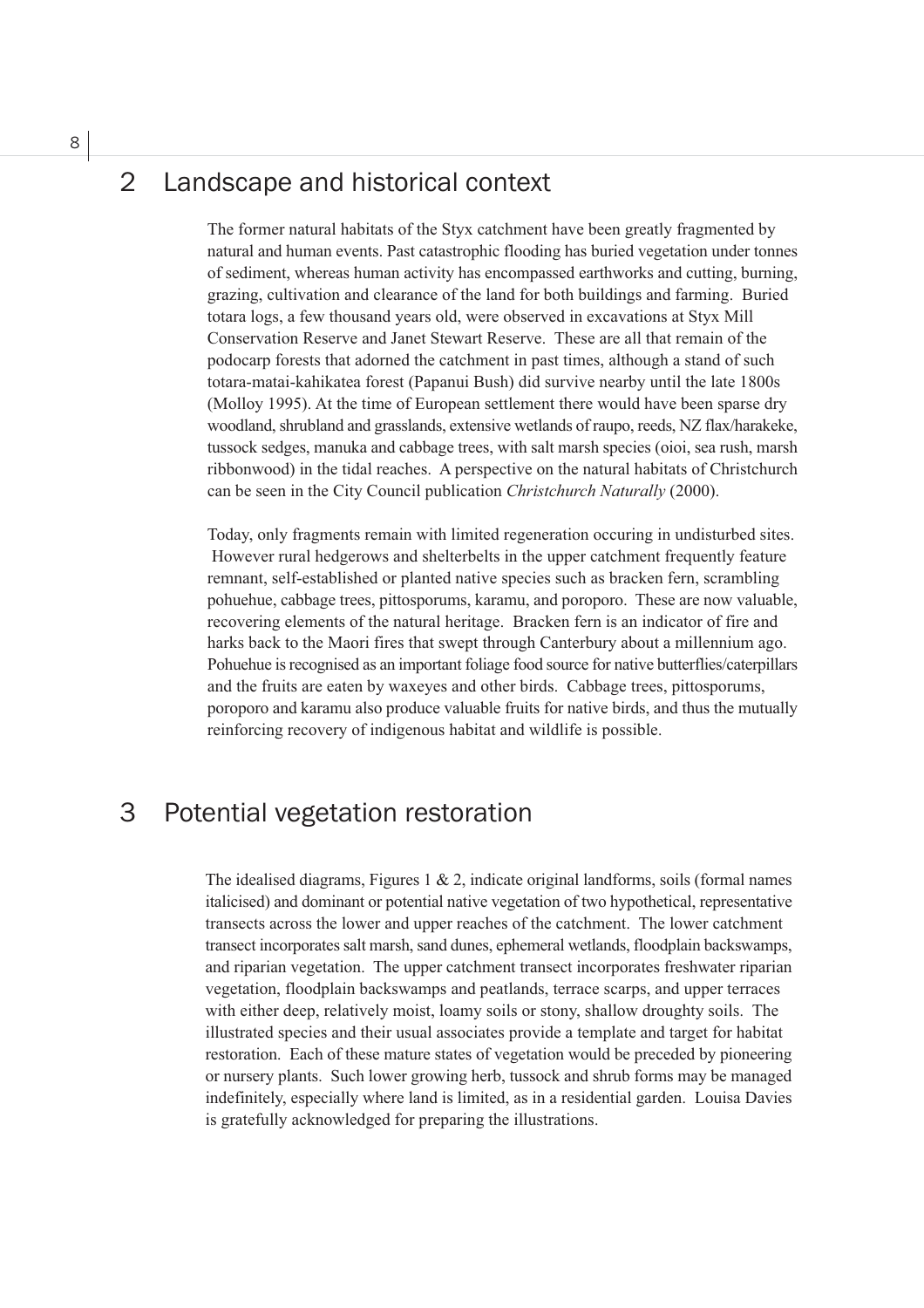### Landscape and historical context  $\mathcal{D}$

The former natural habitats of the Styx catchment have been greatly fragmented by natural and human events. Past catastrophic flooding has buried vegetation under tonnes of sediment, whereas human activity has encompassed earthworks and cutting, burning, grazing, cultivation and clearance of the land for both buildings and farming. Buried totara logs, a few thousand years old, were observed in excavations at Styx Mill Conservation Reserve and Janet Stewart Reserve. These are all that remain of the podocarp forests that adorned the catchment in past times, although a stand of such totara-matai-kahikatea forest (Papanui Bush) did survive nearby until the late 1800s (Mollov 1995). At the time of European settlement there would have been sparse dry woodland, shrubland and grasslands, extensive wetlands of raupo, reeds, NZ flax/harakeke, tussock sedges, manuka and cabbage trees, with salt marsh species (oioi, sea rush, marsh ribbonwood) in the tidal reaches. A perspective on the natural habitats of Christchurch can be seen in the City Council publication Christchurch Naturally (2000).

Today, only fragments remain with limited regeneration occuring in undisturbed sites. However rural hedgerows and shelterbelts in the upper catchment frequently feature remnant, self-established or planted native species such as bracken fern, scrambling pohuehue, cabbage trees, pittosporums, karamu, and poroporo. These are now valuable, recovering elements of the natural heritage. Bracken fern is an indicator of fire and harks back to the Maori fires that swept through Canterbury about a millennium ago. Pohuehue is recognised as an important foliage food source for native butterflies/caterpillars and the fruits are eaten by waxeyes and other birds. Cabbage trees, pittosporums, poroporo and karamu also produce valuable fruits for native birds, and thus the mutually reinforcing recovery of indigenous habitat and wildlife is possible.

#### 3 Potential vegetation restoration

The idealised diagrams, Figures 1 & 2, indicate original landforms, soils (formal names italicised) and dominant or potential native vegetation of two hypothetical, representative transects across the lower and upper reaches of the catchment. The lower catchment transect incorporates salt marsh, sand dunes, ephemeral wetlands, floodplain backswamps, and riparian vegetation. The upper catchment transect incorporates freshwater riparian vegetation, floodplain backswamps and peatlands, terrace scarps, and upper terraces with either deep, relatively moist, loamy soils or stony, shallow droughty soils. The illustrated species and their usual associates provide a template and target for habitat restoration. Each of these mature states of vegetation would be preceded by pioneering or nursery plants. Such lower growing herb, tussock and shrub forms may be managed indefinitely, especially where land is limited, as in a residential garden. Louisa Davies is gratefully acknowledged for preparing the illustrations.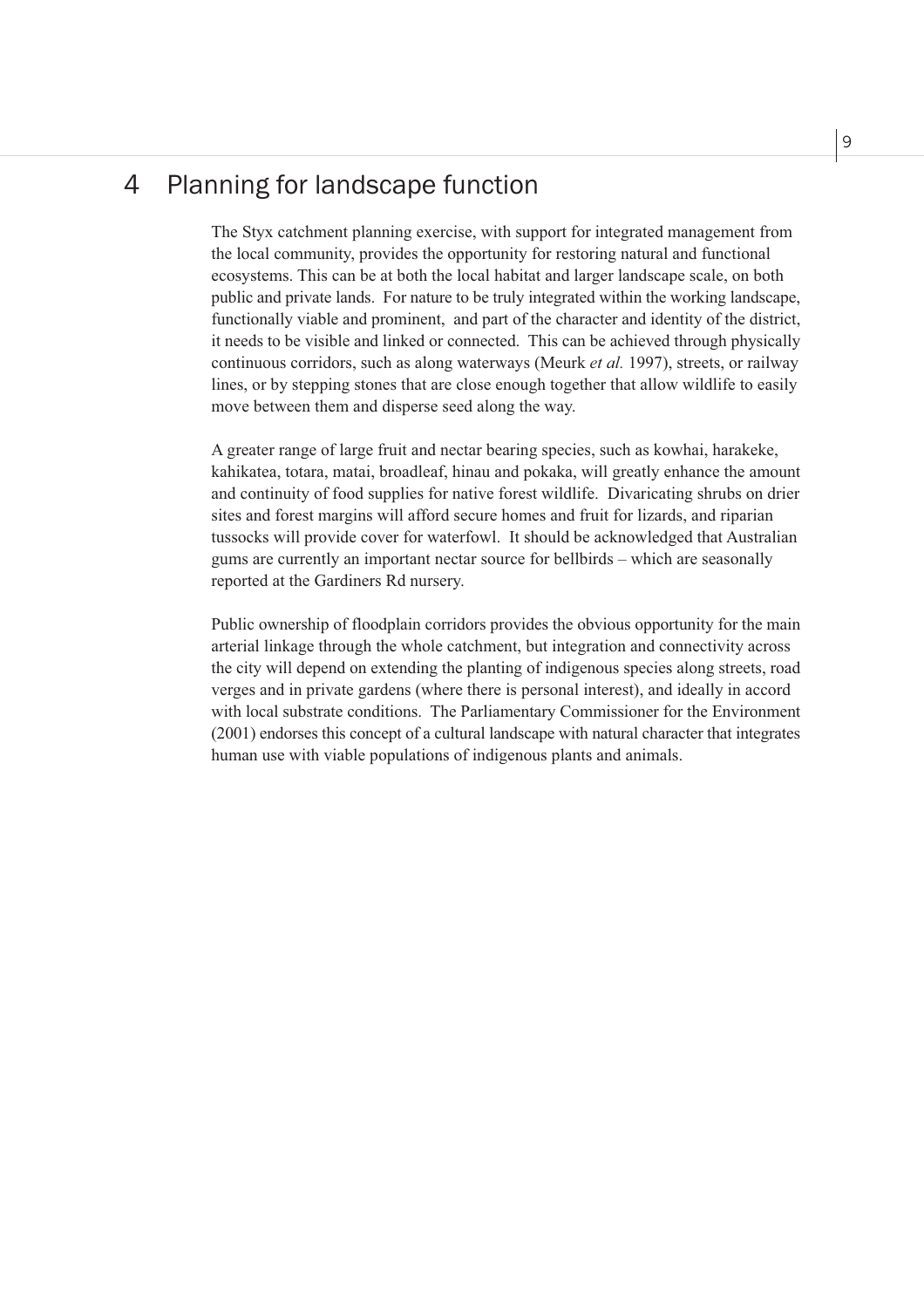### Planning for landscape function  $\overline{4}$

The Styx catchment planning exercise, with support for integrated management from the local community, provides the opportunity for restoring natural and functional ecosystems. This can be at both the local habitat and larger landscape scale, on both public and private lands. For nature to be truly integrated within the working landscape, functionally viable and prominent, and part of the character and identity of the district, it needs to be visible and linked or connected. This can be achieved through physically continuous corridors, such as along waterways (Meurk et al. 1997), streets, or railway lines, or by stepping stones that are close enough together that allow wildlife to easily move between them and disperse seed along the way.

A greater range of large fruit and nectar bearing species, such as kowhai, harakeke, kahikatea, totara, matai, broadleaf, hinau and pokaka, will greatly enhance the amount and continuity of food supplies for native forest wildlife. Divaricating shrubs on drier sites and forest margins will afford secure homes and fruit for lizards, and riparian tussocks will provide cover for waterfowl. It should be acknowledged that Australian gums are currently an important nectar source for bellbirds – which are seasonally reported at the Gardiners Rd nursery.

Public ownership of floodplain corridors provides the obvious opportunity for the main arterial linkage through the whole catchment, but integration and connectivity across the city will depend on extending the planting of indigenous species along streets, road verges and in private gardens (where there is personal interest), and ideally in accord with local substrate conditions. The Parliamentary Commissioner for the Environment (2001) endorses this concept of a cultural landscape with natural character that integrates human use with viable populations of indigenous plants and animals.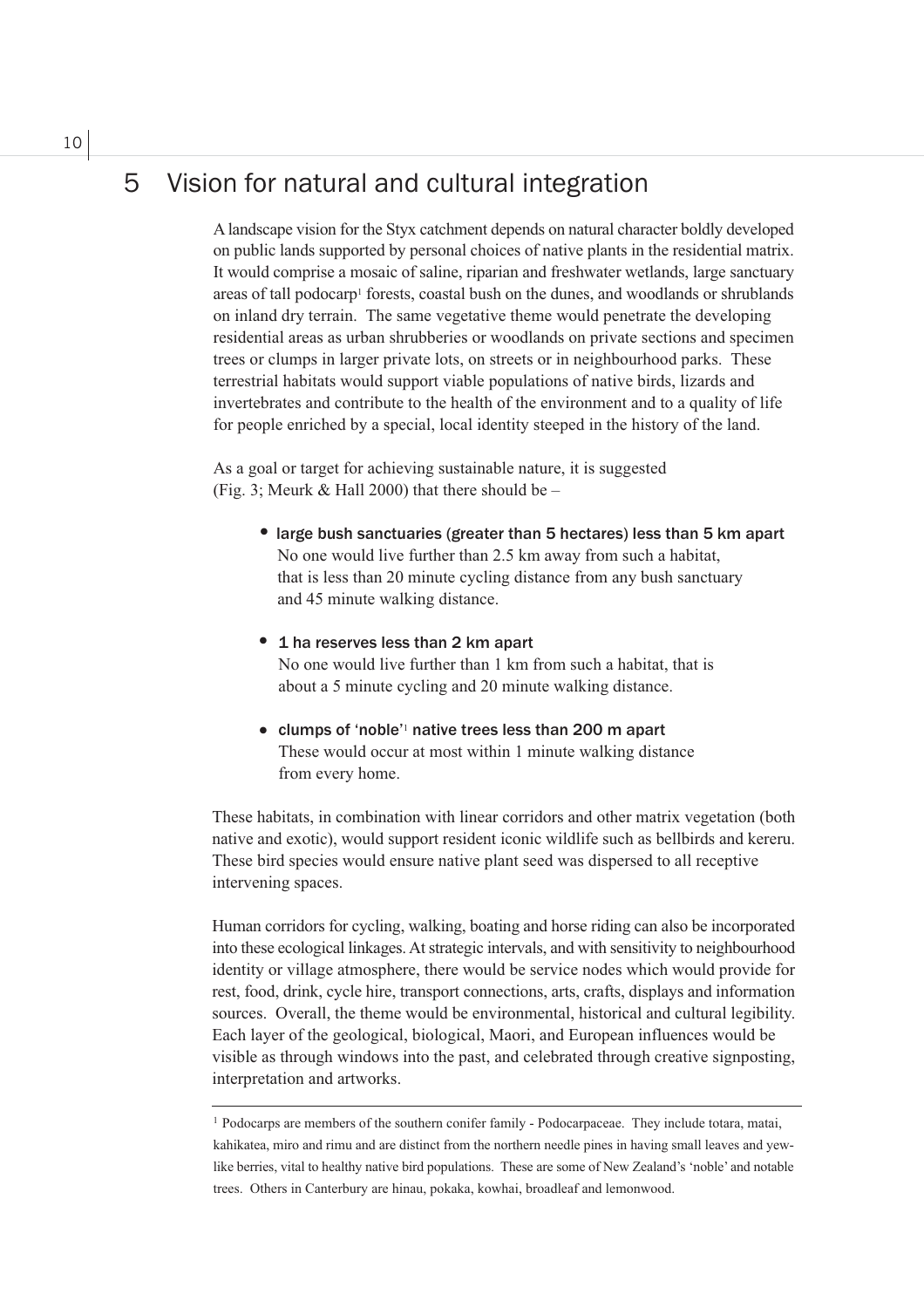### Vision for natural and cultural integration 5

A landscape vision for the Styx catchment depends on natural character boldly developed on public lands supported by personal choices of native plants in the residential matrix. It would comprise a mosaic of saline, riparian and freshwater wetlands, large sanctuary areas of tall podocarp<sup>1</sup> forests, coastal bush on the dunes, and woodlands or shrublands on inland dry terrain. The same vegetative theme would penetrate the developing residential areas as urban shrubberies or woodlands on private sections and specimen trees or clumps in larger private lots, on streets or in neighbourhood parks. These terrestrial habitats would support viable populations of native birds, lizards and invertebrates and contribute to the health of the environment and to a quality of life for people enriched by a special, local identity steeped in the history of the land.

As a goal or target for achieving sustainable nature, it is suggested (Fig. 3; Meurk & Hall 2000) that there should be  $-$ 

- large bush sanctuaries (greater than 5 hectares) less than 5 km apart No one would live further than 2.5 km away from such a habitat, that is less than 20 minute cycling distance from any bush sanctuary and 45 minute walking distance.
- 1 ha reserves less than 2 km apart No one would live further than 1 km from such a habitat, that is about a 5 minute cycling and 20 minute walking distance.
- clumps of 'noble'<sup>1</sup> native trees less than 200 m apart These would occur at most within 1 minute walking distance from every home.

These habitats, in combination with linear corridors and other matrix vegetation (both native and exotic), would support resident iconic wildlife such as bellbirds and kereru. These bird species would ensure native plant seed was dispersed to all receptive intervening spaces.

Human corridors for cycling, walking, boating and horse riding can also be incorporated into these ecological linkages. At strategic intervals, and with sensitivity to neighbourhood identity or village atmosphere, there would be service nodes which would provide for rest, food, drink, cycle hire, transport connections, arts, crafts, displays and information sources. Overall, the theme would be environmental, historical and cultural legibility. Each layer of the geological, biological, Maori, and European influences would be visible as through windows into the past, and celebrated through creative signposting, interpretation and artworks.

<sup>&</sup>lt;sup>1</sup> Podocarps are members of the southern conifer family - Podocarpaceae. They include totara, matai, kahikatea, miro and rimu and are distinct from the northern needle pines in having small leaves and yewlike berries, vital to healthy native bird populations. These are some of New Zealand's 'noble' and notable trees. Others in Canterbury are hinau, pokaka, kowhai, broadleaf and lemonwood.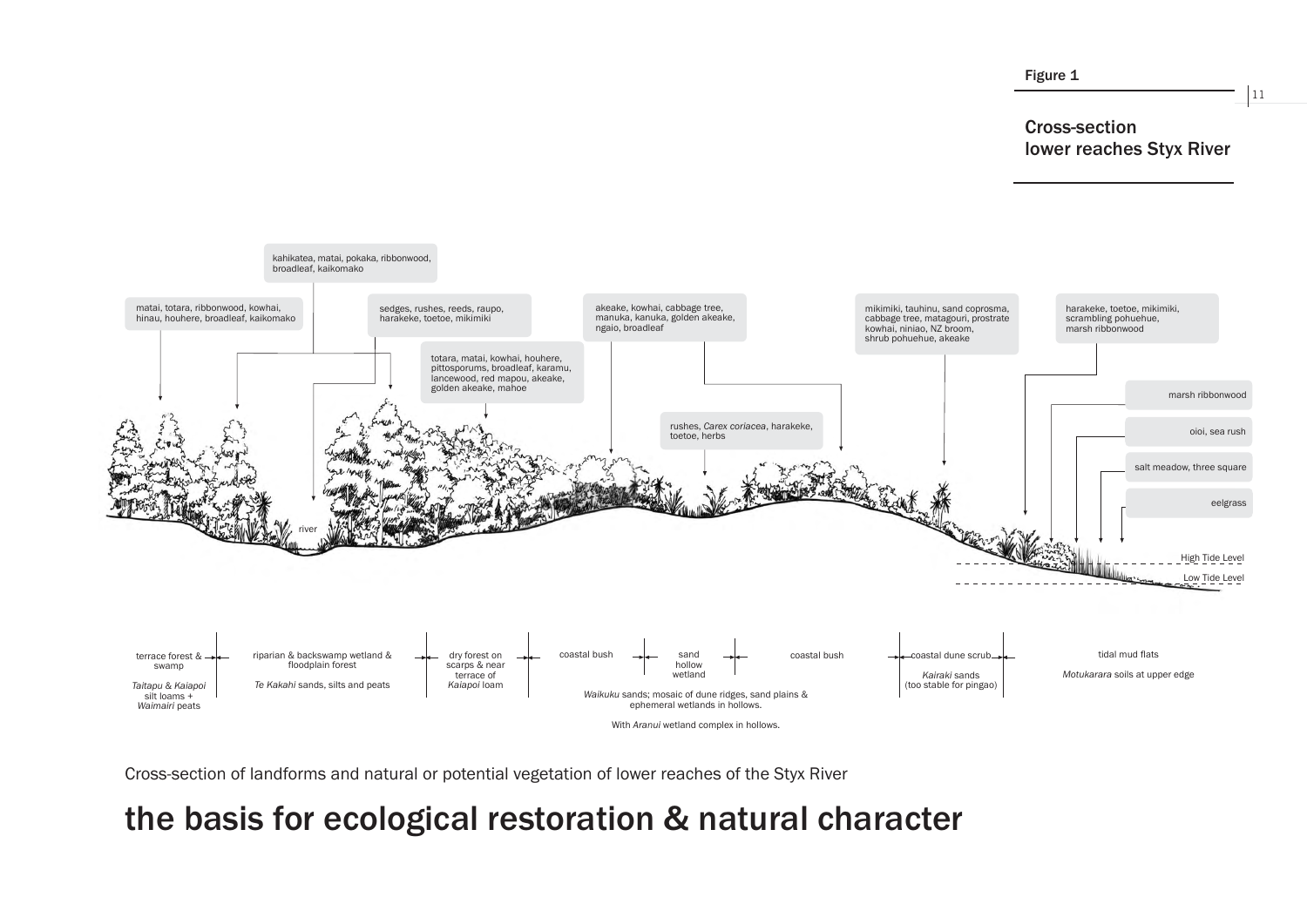

Cross-section of landforms and natural or potential vegetation of lower reaches of the Styx River

# the basis for ecological restoration & natural character

### 11

# **Cross-section lower reaches Styx River**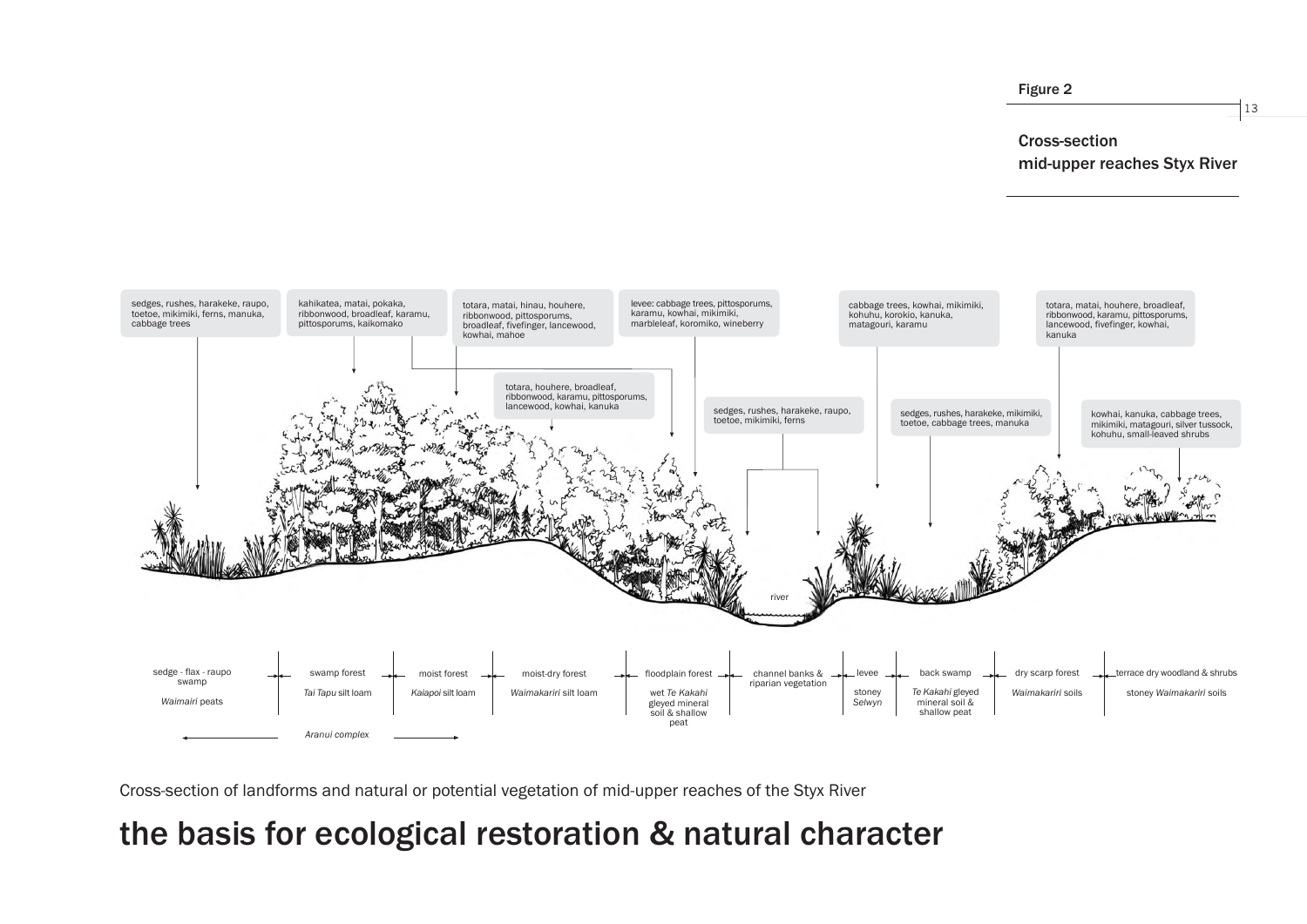

Cross-section of landforms and natural or potential vegetation of mid-upper reaches of the Styx River

# the basis for ecological restoration & natural character

# **Cross-section** mid-upper reaches Styx River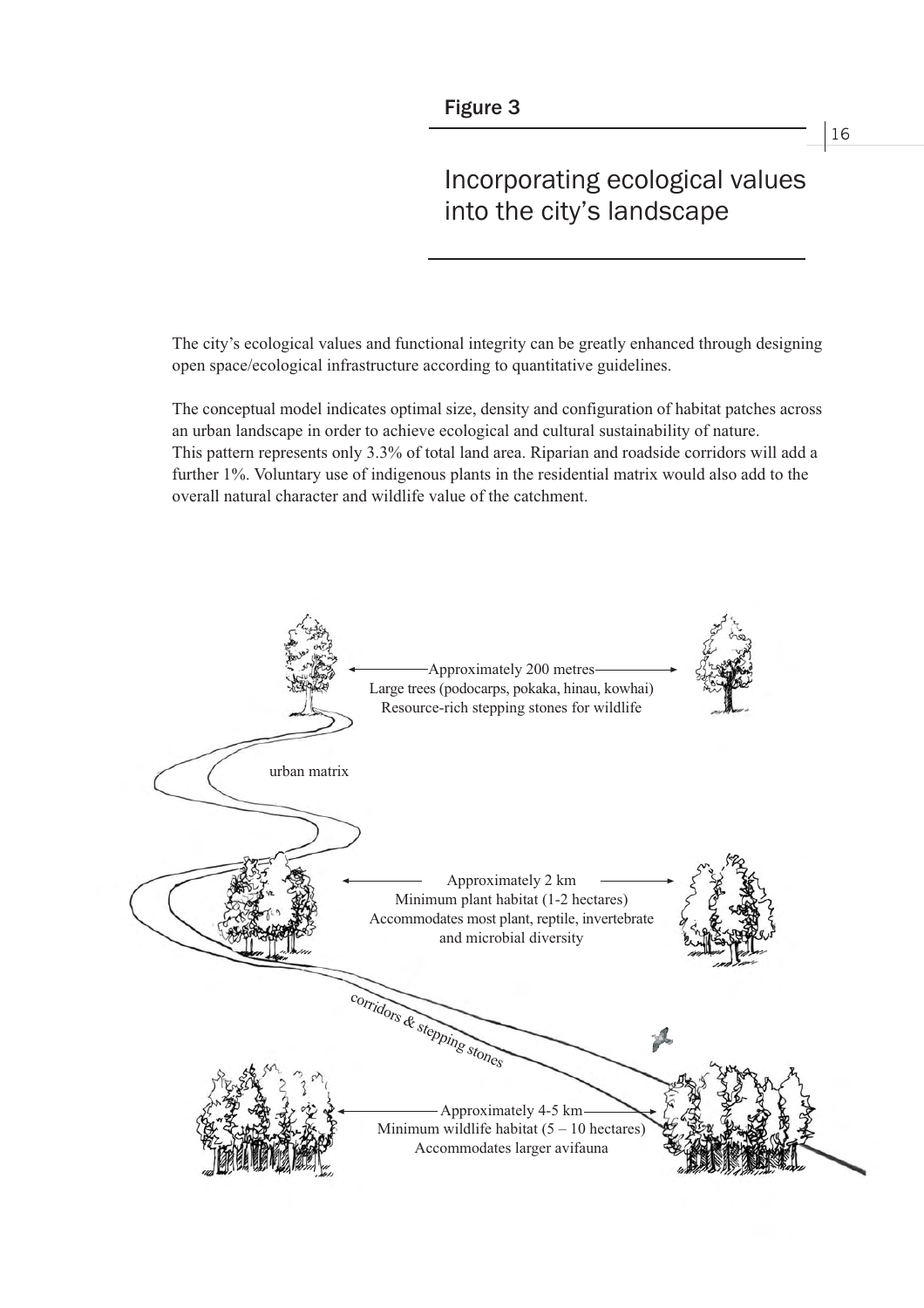# Incorporating ecological values into the city's landscape

The city's ecological values and functional integrity can be greatly enhanced through designing open space/ecological infrastructure according to quantitative guidelines.

The conceptual model indicates optimal size, density and configuration of habitat patches across an urban landscape in order to achieve ecological and cultural sustainability of nature. This pattern represents only 3.3% of total land area. Riparian and roadside corridors will add a further 1%. Voluntary use of indigenous plants in the residential matrix would also add to the overall natural character and wildlife value of the catchment.

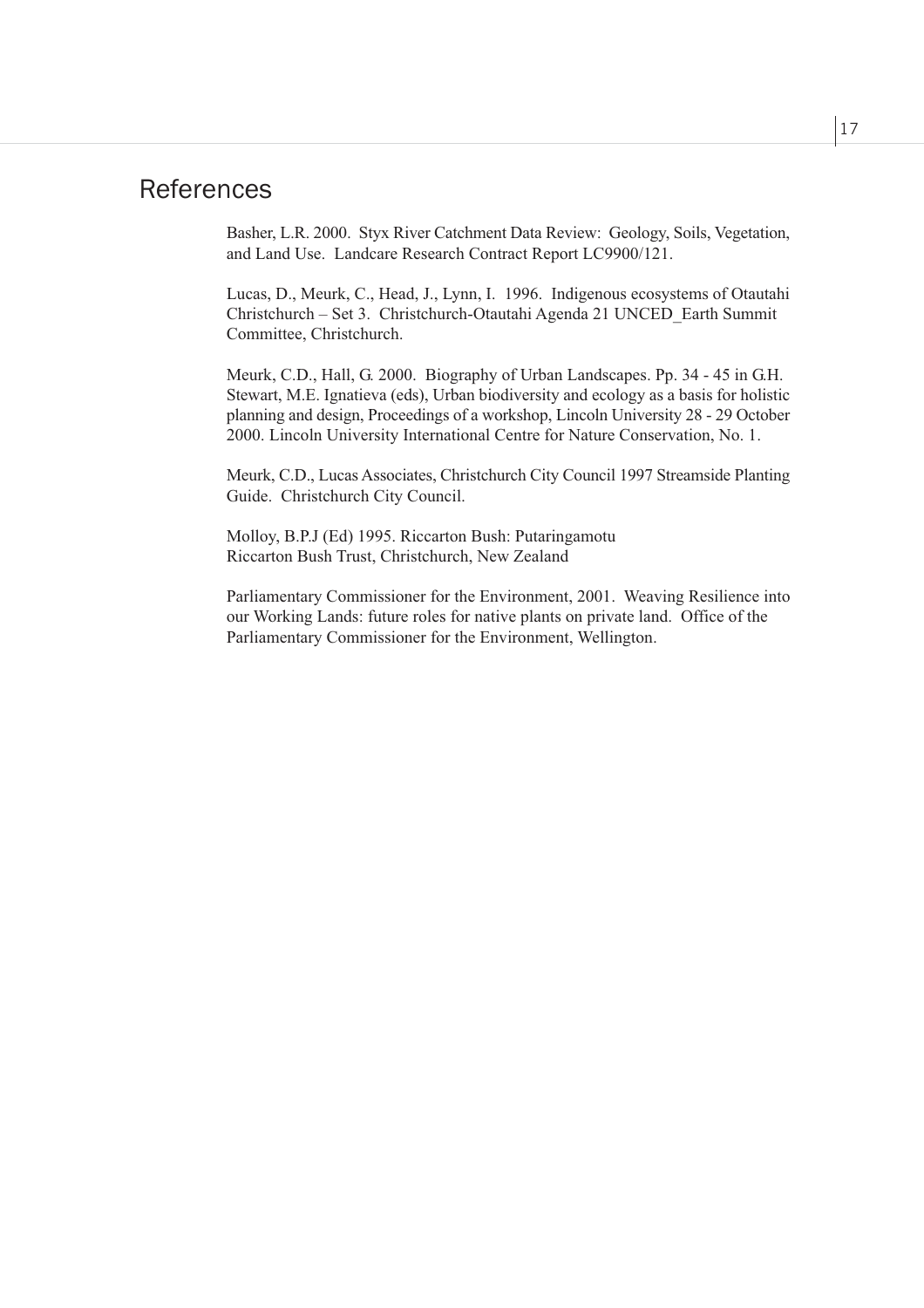## **References**

Basher, L.R. 2000. Styx River Catchment Data Review: Geology, Soils, Vegetation, and Land Use. Landcare Research Contract Report LC9900/121.

Lucas, D., Meurk, C., Head, J., Lynn, I. 1996. Indigenous ecosystems of Otautahi Christchurch – Set 3. Christchurch-Otautahi Agenda 21 UNCED Earth Summit Committee, Christchurch.

Meurk, C.D., Hall, G. 2000. Biography of Urban Landscapes. Pp. 34 - 45 in G.H. Stewart, M.E. Ignatieva (eds), Urban biodiversity and ecology as a basis for holistic planning and design, Proceedings of a workshop, Lincoln University 28 - 29 October 2000. Lincoln University International Centre for Nature Conservation, No. 1.

Meurk, C.D., Lucas Associates, Christchurch City Council 1997 Streamside Planting Guide. Christchurch City Council.

Molloy, B.P.J (Ed) 1995. Riccarton Bush: Putaringamotu Riccarton Bush Trust, Christchurch, New Zealand

Parliamentary Commissioner for the Environment, 2001. Weaving Resilience into our Working Lands: future roles for native plants on private land. Office of the Parliamentary Commissioner for the Environment, Wellington.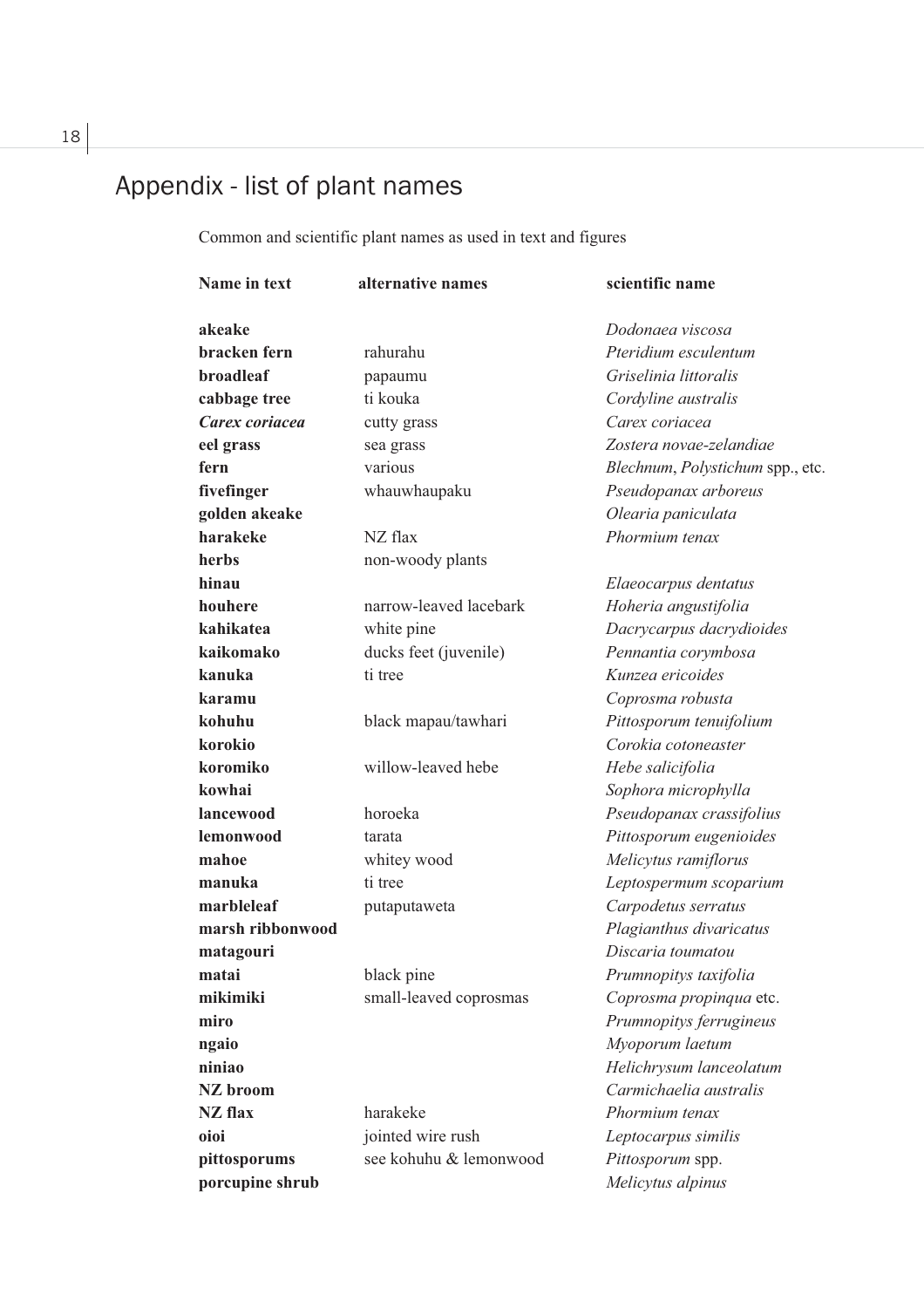# Appendix - list of plant names

Common and scientific plant names as used in text and figures

| Name in text     | alternative names      | scientific name                  |
|------------------|------------------------|----------------------------------|
| akeake           |                        | Dodonaea viscosa                 |
| bracken fern     | rahurahu               | Pteridium esculentum             |
| broadleaf        | papaumu                | Griselinia littoralis            |
| cabbage tree     | ti kouka               | Cordyline australis              |
| Carex coriacea   | cutty grass            | Carex coriacea                   |
| eel grass        | sea grass              | Zostera novae-zelandiae          |
| fern             | various                | Blechnum, Polystichum spp., etc. |
| fivefinger       | whauwhaupaku           | Pseudopanax arboreus             |
| golden akeake    |                        | Olearia paniculata               |
| harakeke         | NZ flax                | Phormium tenax                   |
| herbs            | non-woody plants       |                                  |
| hinau            |                        | Elaeocarpus dentatus             |
| houhere          | narrow-leaved lacebark | Hoheria angustifolia             |
| kahikatea        | white pine             | Dacrycarpus dacrydioides         |
| kaikomako        | ducks feet (juvenile)  | Pennantia corymbosa              |
| kanuka           | ti tree                | Kunzea ericoides                 |
| karamu           |                        | Coprosma robusta                 |
| kohuhu           | black mapau/tawhari    | Pittosporum tenuifolium          |
| korokio          |                        | Corokia cotoneaster              |
| koromiko         | willow-leaved hebe     | Hebe salicifolia                 |
| kowhai           |                        | Sophora microphylla              |
| lancewood        | horoeka                | Pseudopanax crassifolius         |
| lemonwood        | tarata                 | Pittosporum eugenioides          |
| mahoe            | whitey wood            | Melicytus ramiflorus             |
| manuka           | ti tree                | Leptospermum scoparium           |
| marbleleaf       | putaputaweta           | Carpodetus serratus              |
| marsh ribbonwood |                        | Plagianthus divaricatus          |
| matagouri        |                        | Discaria toumatou                |
| matai            | black pine             | Prumnopitys taxifolia            |
| mikimiki         | small-leaved coprosmas | Coprosma propinqua etc.          |
| miro             |                        | Prumnopitys ferrugineus          |
| ngaio            |                        | Myoporum laetum                  |
| niniao           |                        | Helichrysum lanceolatum          |
| NZ broom         |                        | Carmichaelia australis           |
| <b>NZ</b> flax   | harakeke               | Phormium tenax                   |
| oioi             | jointed wire rush      | Leptocarpus similis              |
| pittosporums     | see kohuhu & lemonwood | Pittosporum spp.                 |
| porcupine shrub  |                        | Melicytus alpinus                |

18